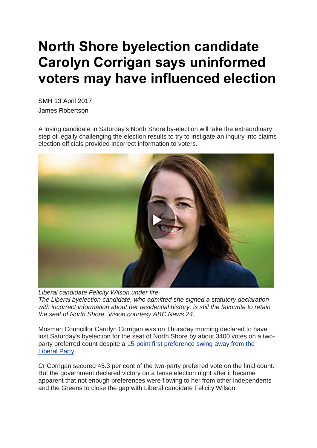## **North Shore byelection candidate Carolyn Corrigan says uninformed voters may have influenced election**

SMH 13 April 2017 James Robertson

A losing candidate in Saturday's North Shore by-election will take the extraordinary step of legally challenging the election results to try to instigate an inquiry into claims election officials provided incorrect information to voters.



*Liberal candidate Felicity Wilson under fire The Liberal byelection candidate, who admitted she signed a statutory declaration with incorrect information about her residential history, is still the favourite to retain the seat of North Shore. Vision courtesy ABC News 24.*

Mosman Councillor Carolyn Corrigan was on Thursday morning declared to have lost Saturday's byelection for the seat of North Shore by about 3400 votes on a twoparty preferred count despite a 15-point first [preference](http://www.smh.com.au/nsw/foley-declares-a-mood-for-change-after-byelection-swings-against-liberals-20170409-gvh5uu.html) swing away from the [Liberal](http://www.smh.com.au/nsw/foley-declares-a-mood-for-change-after-byelection-swings-against-liberals-20170409-gvh5uu.html) [Party.](http://www.smh.com.au/nsw/foley-declares-a-mood-for-change-after-byelection-swings-against-liberals-20170409-gvh5uu.html)

Cr Corrigan secured 45.3 per cent of the two-party preferred vote on the final count. But the government declared victory on a tense election night after it became apparent that not enough preferences were flowing to her from other independents and the Greens to close the gap with Liberal candidate Felicity Wilson.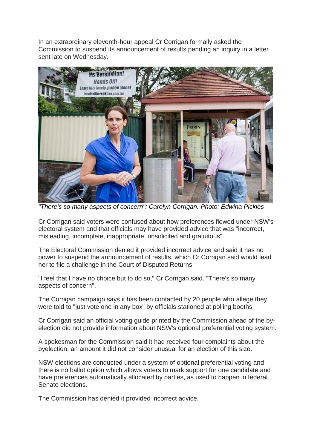In an extraordinary eleventh-hour appeal Cr Corrigan formally asked the Commission to suspend its announcement of results pending an inquiry in a letter sent late on Wednesday.



*"There's so many aspects of concern": Carolyn Corrigan. Photo: Edwina Pickles*

Cr Corrigan said voters were confused about how preferences flowed under NSW's electoral system and that officials may have provided advice that was "incorrect, misleading, incomplete, inappropriate, unsolicited and gratuitous".

The Electoral Commission denied it provided incorrect advice and said it has no power to suspend the announcement of results, which Cr Corrigan said would lead her to file a challenge in the Court of Disputed Returns.

"I feel that I have no choice but to do so," Cr Corrigan said. "There's so many aspects of concern".

The Corrigan campaign says it has been contacted by 20 people who allege they were told to "just vote one in any box" by officials stationed at polling booths.

Cr Corrigan said an official voting guide printed by the Commission ahead of the byelection did not provide information about NSW's optional preferential voting system.

A spokesman for the Commission said it had received four complaints about the byelection, an amount it did not consider unusual for an election of this size.

NSW elections are conducted under a system of optional preferential voting and there is no ballot option which allows voters to mark support for one candidate and have preferences automatically allocated by parties, as used to happen in federal Senate elections.

The Commission has denied it provided incorrect advice.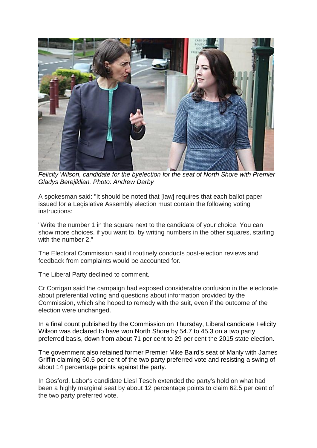

*Felicity Wilson, candidate for the byelection for the seat of North Shore with Premier Gladys Berejiklian. Photo: Andrew Darby*

A spokesman said: "It should be noted that [law] requires that each ballot paper issued for a Legislative Assembly election must contain the following voting instructions:

"Write the number 1 in the square next to the candidate of your choice. You can show more choices, if you want to, by writing numbers in the other squares, starting with the number 2."

The Electoral Commission said it routinely conducts post-election reviews and feedback from complaints would be accounted for.

The Liberal Party declined to comment.

Cr Corrigan said the campaign had exposed considerable confusion in the electorate about preferential voting and questions about information provided by the Commission, which she hoped to remedy with the suit, even if the outcome of the election were unchanged.

In a final count published by the Commission on Thursday, Liberal candidate Felicity Wilson was declared to have won North Shore by 54.7 to 45.3 on a two party preferred basis, down from about 71 per cent to 29 per cent the 2015 state election.

The government also retained former Premier Mike Baird's seat of Manly with James Griffin claiming 60.5 per cent of the two party preferred vote and resisting a swing of about 14 percentage points against the party.

In Gosford, Labor's candidate Liesl Tesch extended the party's hold on what had been a highly marginal seat by about 12 percentage points to claim 62.5 per cent of the two party preferred vote.